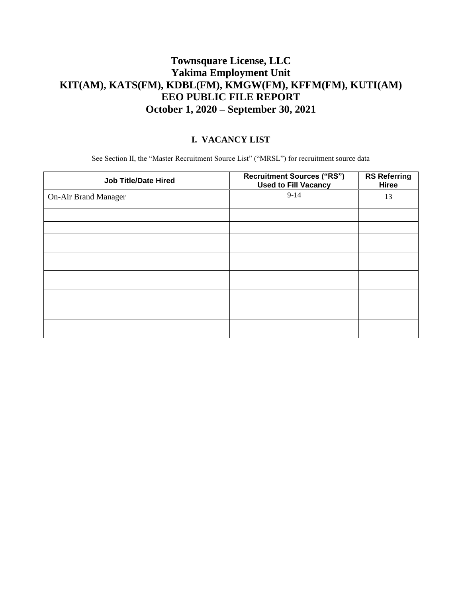# **Townsquare License, LLC Yakima Employment Unit KIT(AM), KATS(FM), KDBL(FM), KMGW(FM), KFFM(FM), KUTI(AM) EEO PUBLIC FILE REPORT October 1, 2020 – September 30, 2021**

#### **I. VACANCY LIST**

See Section II, the "Master Recruitment Source List" ("MRSL") for recruitment source data

| <b>Job Title/Date Hired</b> | <b>Recruitment Sources ("RS")</b><br><b>Used to Fill Vacancy</b> | <b>RS Referring</b><br>Hiree |
|-----------------------------|------------------------------------------------------------------|------------------------------|
| <b>On-Air Brand Manager</b> | $9 - 14$                                                         | 13                           |
|                             |                                                                  |                              |
|                             |                                                                  |                              |
|                             |                                                                  |                              |
|                             |                                                                  |                              |
|                             |                                                                  |                              |
|                             |                                                                  |                              |
|                             |                                                                  |                              |
|                             |                                                                  |                              |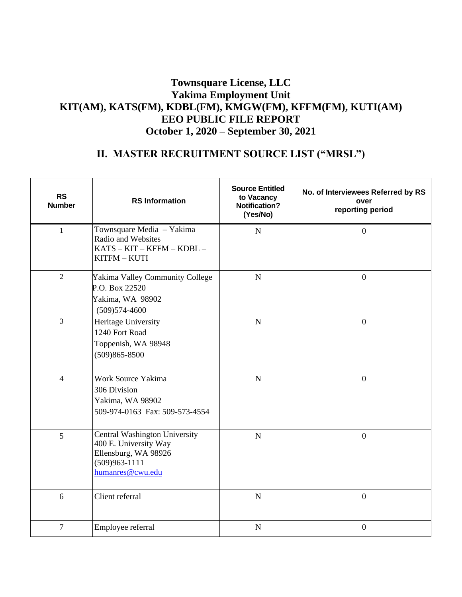### **Townsquare License, LLC Yakima Employment Unit KIT(AM), KATS(FM), KDBL(FM), KMGW(FM), KFFM(FM), KUTI(AM) EEO PUBLIC FILE REPORT October 1, 2020 – September 30, 2021**

# **II. MASTER RECRUITMENT SOURCE LIST ("MRSL")**

| <b>RS</b><br><b>Number</b> | <b>RS</b> Information                                                                                                   | <b>Source Entitled</b><br>to Vacancy<br><b>Notification?</b><br>(Yes/No) | No. of Interviewees Referred by RS<br>over<br>reporting period |
|----------------------------|-------------------------------------------------------------------------------------------------------------------------|--------------------------------------------------------------------------|----------------------------------------------------------------|
| $\mathbf{1}$               | Townsquare Media - Yakima<br>Radio and Websites<br>$KATS - KIT - KFFM - KDBL -$<br>KITFM - KUTI                         | $\mathbf N$                                                              | $\mathbf{0}$                                                   |
| $\overline{2}$             | Yakima Valley Community College<br>P.O. Box 22520<br>Yakima, WA 98902<br>$(509)574-4600$                                | $\mathbf N$                                                              | $\mathbf{0}$                                                   |
| $\overline{3}$             | Heritage University<br>1240 Fort Road<br>Toppenish, WA 98948<br>$(509)865 - 8500$                                       | $\mathbf N$                                                              | $\mathbf{0}$                                                   |
| $\overline{4}$             | Work Source Yakima<br>306 Division<br>Yakima, WA 98902<br>509-974-0163 Fax: 509-573-4554                                | $\mathbf N$                                                              | $\mathbf{0}$                                                   |
| 5                          | Central Washington University<br>400 E. University Way<br>Ellensburg, WA 98926<br>$(509)963 - 1111$<br>humanres@cwu.edu | $\mathbf N$                                                              | $\overline{0}$                                                 |
| 6                          | Client referral                                                                                                         | $\mathbf N$                                                              | $\mathbf{0}$                                                   |
| $\overline{7}$             | Employee referral                                                                                                       | $\mathbf N$                                                              | $\mathbf{0}$                                                   |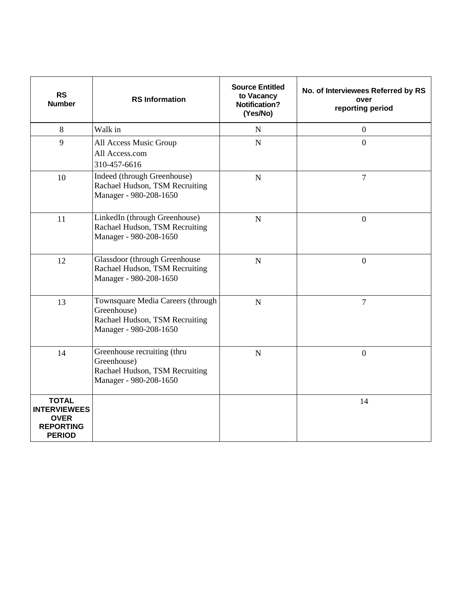| <b>RS</b><br><b>Number</b>                                                              | <b>RS</b> Information                                                                                        | <b>Source Entitled</b><br>to Vacancy<br><b>Notification?</b><br>(Yes/No) | No. of Interviewees Referred by RS<br>over<br>reporting period |
|-----------------------------------------------------------------------------------------|--------------------------------------------------------------------------------------------------------------|--------------------------------------------------------------------------|----------------------------------------------------------------|
| 8                                                                                       | Walk in                                                                                                      | $\mathbf N$                                                              | $\boldsymbol{0}$                                               |
| 9                                                                                       | All Access Music Group<br>All Access.com<br>310-457-6616                                                     | $\mathbf N$                                                              | $\overline{0}$                                                 |
| 10                                                                                      | Indeed (through Greenhouse)<br>Rachael Hudson, TSM Recruiting<br>Manager - 980-208-1650                      | $\mathbf N$                                                              | $\overline{7}$                                                 |
| 11                                                                                      | LinkedIn (through Greenhouse)<br>Rachael Hudson, TSM Recruiting<br>Manager - 980-208-1650                    | $\mathbf N$                                                              | $\overline{0}$                                                 |
| 12                                                                                      | <b>Glassdoor</b> (through Greenhouse<br>Rachael Hudson, TSM Recruiting<br>Manager - 980-208-1650             | N                                                                        | $\overline{0}$                                                 |
| 13                                                                                      | Townsquare Media Careers (through<br>Greenhouse)<br>Rachael Hudson, TSM Recruiting<br>Manager - 980-208-1650 | $\mathbf N$                                                              | $\overline{7}$                                                 |
| 14                                                                                      | Greenhouse recruiting (thru<br>Greenhouse)<br>Rachael Hudson, TSM Recruiting<br>Manager - 980-208-1650       | N                                                                        | $\overline{0}$                                                 |
| <b>TOTAL</b><br><b>INTERVIEWEES</b><br><b>OVER</b><br><b>REPORTING</b><br><b>PERIOD</b> |                                                                                                              |                                                                          | 14                                                             |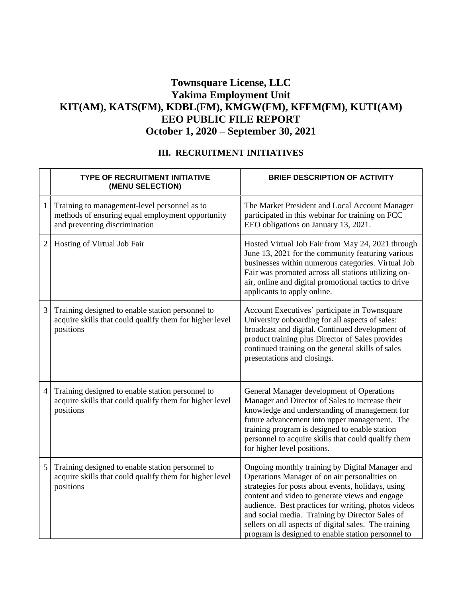# **Townsquare License, LLC Yakima Employment Unit KIT(AM), KATS(FM), KDBL(FM), KMGW(FM), KFFM(FM), KUTI(AM) EEO PUBLIC FILE REPORT October 1, 2020 – September 30, 2021**

#### **III. RECRUITMENT INITIATIVES**

|                | <b>TYPE OF RECRUITMENT INITIATIVE</b><br>(MENU SELECTION)                                                                         | <b>BRIEF DESCRIPTION OF ACTIVITY</b>                                                                                                                                                                                                                                                                                                                                                                                              |
|----------------|-----------------------------------------------------------------------------------------------------------------------------------|-----------------------------------------------------------------------------------------------------------------------------------------------------------------------------------------------------------------------------------------------------------------------------------------------------------------------------------------------------------------------------------------------------------------------------------|
| $\mathbf{1}$   | Training to management-level personnel as to<br>methods of ensuring equal employment opportunity<br>and preventing discrimination | The Market President and Local Account Manager<br>participated in this webinar for training on FCC<br>EEO obligations on January 13, 2021.                                                                                                                                                                                                                                                                                        |
| $\overline{c}$ | Hosting of Virtual Job Fair                                                                                                       | Hosted Virtual Job Fair from May 24, 2021 through<br>June 13, 2021 for the community featuring various<br>businesses within numerous categories. Virtual Job<br>Fair was promoted across all stations utilizing on-<br>air, online and digital promotional tactics to drive<br>applicants to apply online.                                                                                                                        |
| 3              | Training designed to enable station personnel to<br>acquire skills that could qualify them for higher level<br>positions          | Account Executives' participate in Townsquare<br>University onboarding for all aspects of sales:<br>broadcast and digital. Continued development of<br>product training plus Director of Sales provides<br>continued training on the general skills of sales<br>presentations and closings.                                                                                                                                       |
| $\overline{4}$ | Training designed to enable station personnel to<br>acquire skills that could qualify them for higher level<br>positions          | General Manager development of Operations<br>Manager and Director of Sales to increase their<br>knowledge and understanding of management for<br>future advancement into upper management. The<br>training program is designed to enable station<br>personnel to acquire skills that could qualify them<br>for higher level positions.                                                                                            |
| 5              | Training designed to enable station personnel to<br>acquire skills that could qualify them for higher level<br>positions          | Ongoing monthly training by Digital Manager and<br>Operations Manager of on air personalities on<br>strategies for posts about events, holidays, using<br>content and video to generate views and engage<br>audience. Best practices for writing, photos videos<br>and social media. Training by Director Sales of<br>sellers on all aspects of digital sales. The training<br>program is designed to enable station personnel to |